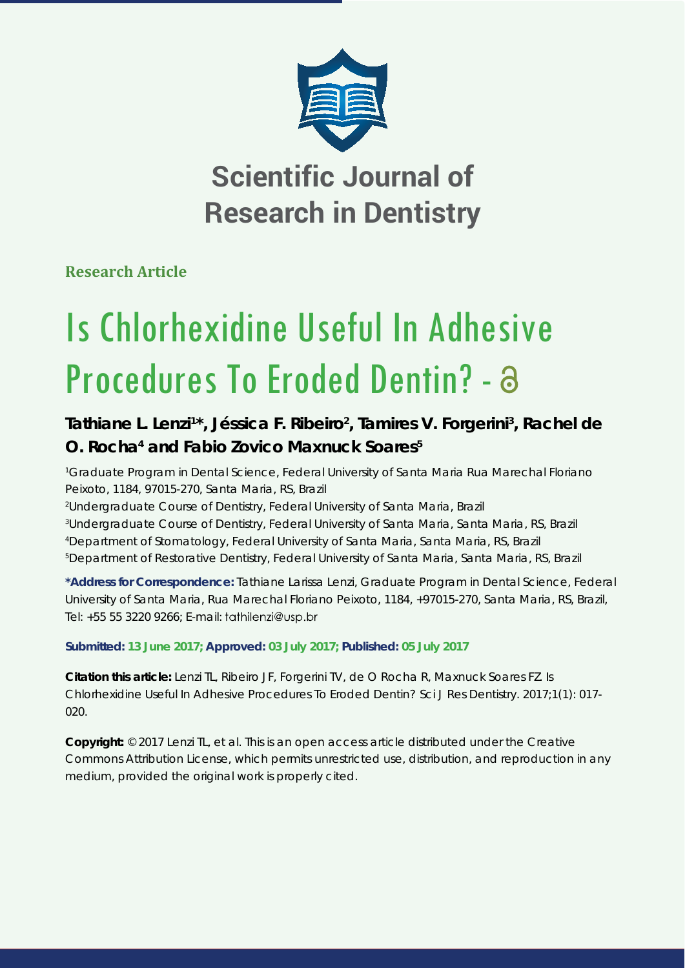

**Scientific Journal of Research in Dentistry**

**Research Article**

# Is Chlorhexidine Useful In Adhesive Procedures To Eroded Dentin? -

# Tathiane L. Lenzi<sup>1\*</sup>, Jéssica F. Ribeiro<sup>2</sup>, Tamires V. Forgerini<sup>3</sup>, Rachel de **O. Rocha4 and Fabio Zovico Maxnuck Soares5**

*1 Graduate Program in Dental Science, Federal University of Santa Maria Rua Marechal Floriano Peixoto, 1184, 97015-270, Santa Maria, RS, Brazil*

*2 Undergraduate Course of Dentistry, Federal University of Santa Maria, Brazil*

*3 Undergraduate Course of Dentistry, Federal University of Santa Maria, Santa Maria, RS, Brazil*

*4 Department of Stomatology, Federal University of Santa Maria, Santa Maria, RS, Brazil*

*5 Department of Restorative Dentistry, Federal University of Santa Maria, Santa Maria, RS, Brazil*

**\*Address for Correspondence:** Tathiane Larissa Lenzi, Graduate Program in Dental Science, Federal University of Santa Maria, Rua Marechal Floriano Peixoto, 1184, +97015-270, Santa Maria, RS, Brazil, Tel: +55 55 3220 9266; E-mail:

**Submitted: 13 June 2017; Approved: 03 July 2017; Published: 05 July 2017**

**Citation this article:** Lenzi TL, Ribeiro JF, Forgerini TV, de O Rocha R, Maxnuck Soares FZ. Is Chlorhexidine Useful In Adhesive Procedures To Eroded Dentin? Sci J Res Dentistry. 2017;1(1): 017- 020.

**Copyright:** © 2017 Lenzi TL, et al. This is an open access article distributed under the Creative Commons Attribution License, which permits unrestricted use, distribution, and reproduction in any medium, provided the original work is properly cited.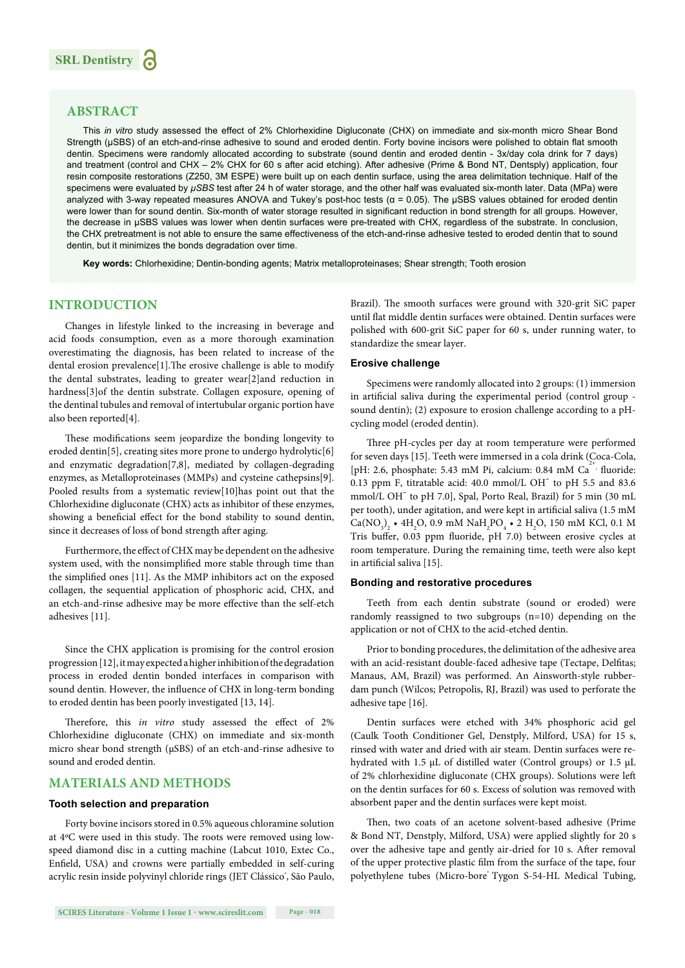# **ABSTRACT**

This *in vitro* study assessed the effect of 2% Chlorhexidine Digluconate (CHX) on immediate and six-month micro Shear Bond Strength (μSBS) of an etch-and-rinse adhesive to sound and eroded dentin. Forty bovine incisors were polished to obtain flat smooth dentin. Specimens were randomly allocated according to substrate (sound dentin and eroded dentin - 3x/day cola drink for 7 days) and treatment (control and CHX – 2% CHX for 60 s after acid etching). After adhesive (Prime & Bond NT, Dentsply) application, four resin composite restorations (Z250, 3M ESPE) were built up on each dentin surface, using the area delimitation technique. Half of the specimens were evaluated by *μSBS* test after 24 h of water storage, and the other half was evaluated six-month later. Data (MPa) were analyzed with 3-way repeated measures ANOVA and Tukey's post-hoc tests ( $\alpha$  = 0.05). The uSBS values obtained for eroded dentin were lower than for sound dentin. Six-month of water storage resulted in significant reduction in bond strength for all groups. However, the decrease in μSBS values was lower when dentin surfaces were pre-treated with CHX, regardless of the substrate. In conclusion, the CHX pretreatment is not able to ensure the same effectiveness of the etch-and-rinse adhesive tested to eroded dentin that to sound dentin, but it minimizes the bonds degradation over time.

**Key words:** Chlorhexidine; Dentin-bonding agents; Matrix metalloproteinases; Shear strength; Tooth erosion

# **INTRODUCTION**

Changes in lifestyle linked to the increasing in beverage and acid foods consumption, even as a more thorough examination overestimating the diagnosis, has been related to increase of the dental erosion prevalence $[1]$ . The erosive challenge is able to modify the dental substrates, leading to greater wear[2]and reduction in hardness[3]of the dentin substrate. Collagen exposure, opening of the dentinal tubules and removal of intertubular organic portion have also been reported[4].

These modifications seem jeopardize the bonding longevity to eroded dentin<sup>[5]</sup>, creating sites more prone to undergo hydrolytic<sup>[6]</sup> and enzymatic degradation[7,8], mediated by collagen-degrading enzymes, as Metalloproteinases (MMPs) and cysteine cathepsins[9]. Pooled results from a systematic review[10]has point out that the Chlorhexidine digluconate (CHX) acts as inhibitor of these enzymes, showing a beneficial effect for the bond stability to sound dentin, since it decreases of loss of bond strength after aging.

Furthermore, the effect of CHX may be dependent on the adhesive system used, with the nonsimplified more stable through time than the simplified ones [11]. As the MMP inhibitors act on the exposed collagen, the sequential application of phosphoric acid, CHX, and an etch-and-rinse adhesive may be more effective than the self-etch adhesives [11].

Since the CHX application is promising for the control erosion progression [12], it may expected a higher inhibition of the degradation process in eroded dentin bonded interfaces in comparison with sound dentin. However, the influence of CHX in long-term bonding to eroded dentin has been poorly investigated [13, 14].

Therefore, this *in vitro* study assessed the effect of 2% Chlorhexidine digluconate (CHX) on immediate and six-month micro shear bond strength (μSBS) of an etch-and-rinse adhesive to sound and eroded dentin.

## **MATERIALS AND METHODS**

### **Tooth selection and preparation**

Forty bovine incisors stored in 0.5% aqueous chloramine solution at 4°C were used in this study. The roots were removed using lowspeed diamond disc in a cutting machine (Labcut 1010, Extec Co., Enfield, USA) and crowns were partially embedded in self-curing acrylic resin inside polyvinyl chloride rings (JET Clássico', São Paulo, Brazil). The smooth surfaces were ground with 320-grit SiC paper until flat middle dentin surfaces were obtained. Dentin surfaces were polished with 600-grit SiC paper for 60 s, under running water, to standardize the smear layer.

#### **Erosive challenge**

Specimens were randomly allocated into 2 groups: (1) immersion in artificial saliva during the experimental period (control group sound dentin); (2) exposure to erosion challenge according to a pHcycling model (eroded dentin).

Three pH-cycles per day at room temperature were performed for seven days [15]. Teeth were immersed in a cola drink (Coca-Cola, [pH: 2.6, phosphate: 5.43 mM Pi, calcium: 0.84 mM  $Ca^{2+}$ , fluoride: 0.13 ppm F, titratable acid:  $40.0 \text{ mmol/L OH}^-$  to pH 5.5 and 83.6 mmol/L OH- to pH 7.0], Spal, Porto Real, Brazil) for 5 min (30 mL per tooth), under agitation, and were kept in artificial saliva (1.5 mM  $Ca(NO<sub>3</sub>)<sub>2</sub>$  • 4H<sub>2</sub>O, 0.9 mM NaH<sub>2</sub>PO<sub>4</sub> • 2 H<sub>2</sub>O, 150 mM KCl, 0.1 M Tris buffer, 0.03 ppm fluoride, pH 7.0) between erosive cycles at room temperature. During the remaining time, teeth were also kept in artificial saliva [15].

#### **Bonding and restorative procedures**

Teeth from each dentin substrate (sound or eroded) were randomly reassigned to two subgroups (n=10) depending on the application or not of CHX to the acid-etched dentin.

Prior to bonding procedures, the delimitation of the adhesive area with an acid-resistant double-faced adhesive tape (Tectape, Delfitas; Manaus, AM, Brazil) was performed. An Ainsworth-style rubberdam punch (Wilcos; Petropolis, RJ, Brazil) was used to perforate the adhesive tape [16].

Dentin surfaces were etched with 34% phosphoric acid gel (Caulk Tooth Conditioner Gel, Denstply, Milford, USA) for 15 s, rinsed with water and dried with air steam. Dentin surfaces were rehydrated with 1.5 μL of distilled water (Control groups) or 1.5 μL of 2% chlorhexidine digluconate (CHX groups). Solutions were left on the dentin surfaces for 60 s. Excess of solution was removed with absorbent paper and the dentin surfaces were kept moist.

Then, two coats of an acetone solvent-based adhesive (Prime & Bond NT, Denstply, Milford, USA) were applied slightly for 20 s over the adhesive tape and gently air-dried for 10 s. After removal of the upper protective plastic film from the surface of the tape, four polyethylene tubes (Micro-bore Tygon S-54-HL Medical Tubing,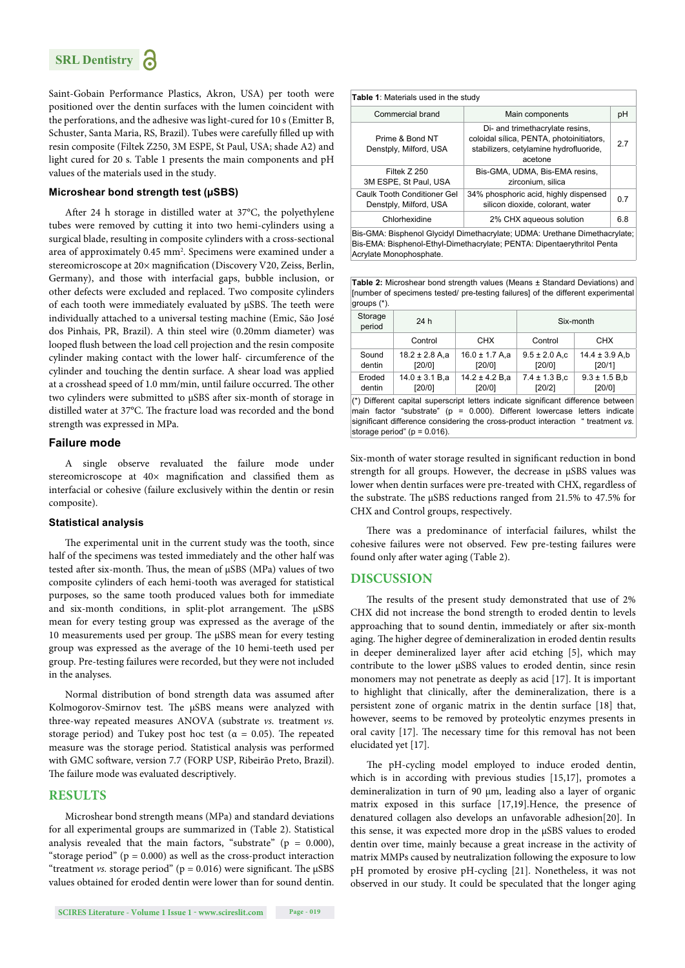Saint-Gobain Performance Plastics, Akron, USA) per tooth were positioned over the dentin surfaces with the lumen coincident with the perforations, and the adhesive was light-cured for 10 s (Emitter B, Schuster, Santa Maria, RS, Brazil). Tubes were carefully filled up with resin composite (Filtek Z250, 3M ESPE, St Paul, USA; shade A2) and light cured for 20 s. Table 1 presents the main components and pH values of the materials used in the study.

#### **Microshear bond strength test (μSBS)**

After 24 h storage in distilled water at 37°C, the polyethylene tubes were removed by cutting it into two hemi-cylinders using a surgical blade, resulting in composite cylinders with a cross-sectional area of approximately 0.45 mm<sup>2</sup>. Specimens were examined under a stereomicroscope at 20× magnification (Discovery V20, Zeiss, Berlin, Germany), and those with interfacial gaps, bubble inclusion, or other defects were excluded and replaced. Two composite cylinders of each tooth were immediately evaluated by  $\mu$ SBS. The teeth were individually attached to a universal testing machine (Emic, São José dos Pinhais, PR, Brazil). A thin steel wire (0.20mm diameter) was looped flush between the load cell projection and the resin composite cylinder making contact with the lower half- circumference of the cylinder and touching the dentin surface. A shear load was applied at a crosshead speed of 1.0 mm/min, until failure occurred. The other two cylinders were submitted to μSBS after six-month of storage in distilled water at 37°C. The fracture load was recorded and the bond strength was expressed in MPa.

#### **Failure mode**

A single observe revaluated the failure mode under stereomicroscope at  $40\times$  magnification and classified them as interfacial or cohesive (failure exclusively within the dentin or resin composite).

#### **Statistical analysis**

The experimental unit in the current study was the tooth, since half of the specimens was tested immediately and the other half was tested after six-month. Thus, the mean of μSBS (MPa) values of two composite cylinders of each hemi-tooth was averaged for statistical purposes, so the same tooth produced values both for immediate and six-month conditions, in split-plot arrangement. The  $\mu$ SBS mean for every testing group was expressed as the average of the 10 measurements used per group. The μSBS mean for every testing group was expressed as the average of the 10 hemi-teeth used per group. Pre-testing failures were recorded, but they were not included in the analyses.

Normal distribution of bond strength data was assumed after Kolmogorov-Smirnov test. The μSBS means were analyzed with three-way repeated measures ANOVA (substrate *vs.* treatment *vs.*  storage period) and Tukey post hoc test ( $\alpha = 0.05$ ). The repeated measure was the storage period. Statistical analysis was performed with GMC software, version 7.7 (FORP USP, Ribeirão Preto, Brazil). The failure mode was evaluated descriptively.

#### **RESULTS**

Microshear bond strength means (MPa) and standard deviations for all experimental groups are summarized in (Table 2). Statistical analysis revealed that the main factors, "substrate" ( $p = 0.000$ ), "storage period" ( $p = 0.000$ ) as well as the cross-product interaction "treatment *vs.* storage period" ( $p = 0.016$ ) were significant. The  $\mu$ SBS values obtained for eroded dentin were lower than for sound dentin.

| <b>Table 1: Materials used in the study</b>                                |                                                                                                                                  |     |  |  |
|----------------------------------------------------------------------------|----------------------------------------------------------------------------------------------------------------------------------|-----|--|--|
| Commercial brand                                                           | Main components                                                                                                                  |     |  |  |
| Prime & Bond NT<br>Denstply, Milford, USA                                  | Di- and trimethacrylate resins,<br>coloidal sílica, PENTA, photoinitiators,<br>stabilizers, cetylamine hydrofluoride,<br>acetone |     |  |  |
| Filtek Z 250<br>3M ESPE, St Paul, USA                                      | Bis-GMA, UDMA, Bis-EMA resins,<br>zirconium, silica                                                                              |     |  |  |
| Caulk Tooth Conditioner Gel<br>Denstply, Milford, USA                      | 34% phosphoric acid, highly dispensed<br>silicon dioxide, colorant, water                                                        |     |  |  |
| Chlorhexidine                                                              | 2% CHX aqueous solution                                                                                                          | 6.8 |  |  |
| Bis-GMA: Bisphenol Glycidyl Dimethacrylate; UDMA: Urethane Dimethacrylate; |                                                                                                                                  |     |  |  |

Bis-EMA: Bisphenol-Ethyl-Dimethacrylate; PENTA: Dipentaerythritol Penta Acrylate Monophosphate.

**Table 2:** Microshear bond strength values (Means ± Standard Deviations) and [number of specimens tested/ pre-testing failures] of the different experimental groups (\*).

| $y_1$ $y_2$ $y_3$                                                                                                                                              |                              |                              |                              |                              |  |
|----------------------------------------------------------------------------------------------------------------------------------------------------------------|------------------------------|------------------------------|------------------------------|------------------------------|--|
| Storage<br>period                                                                                                                                              | 24 h                         |                              | Six-month                    |                              |  |
|                                                                                                                                                                | Control                      | <b>CHX</b>                   | Control                      | CHX                          |  |
| Sound<br>dentin                                                                                                                                                | $18.2 \pm 2.8$ A,a<br>[20/0] | $16.0 \pm 1.7$ A,a<br>[20/0] | $9.5 \pm 2.0$ A.c<br>[20/0]  | $14.4 \pm 3.9$ A,b<br>[20/1] |  |
| Eroded<br>dentin                                                                                                                                               | $14.0 \pm 3.1 B.a$<br>[20/0] | $14.2 \pm 4.2 B.a$<br>[20/0] | $7.4 \pm 1.3 B$ ,c<br>[20/2] | $9.3 \pm 1.5 B$ ,b<br>[20/0] |  |
| (*) Different capital superscript letters indicate significant difference between<br>main factor "substrate" (p = 0.000). Different lowercase letters indicate |                              |                              |                              |                              |  |

significant difference considering the cross-product interaction " treatment *vs.* storage period" ( $p = 0.016$ ).

Six-month of water storage resulted in significant reduction in bond strength for all groups. However, the decrease in μSBS values was lower when dentin surfaces were pre-treated with CHX, regardless of the substrate. The  $\mu$ SBS reductions ranged from 21.5% to 47.5% for CHX and Control groups, respectively.

There was a predominance of interfacial failures, whilst the cohesive failures were not observed. Few pre-testing failures were found only after water aging (Table 2).

#### **DISCUSSION**

The results of the present study demonstrated that use of 2% CHX did not increase the bond strength to eroded dentin to levels approaching that to sound dentin, immediately or after six-month aging. The higher degree of demineralization in eroded dentin results in deeper demineralized layer after acid etching [5], which may contribute to the lower μSBS values to eroded dentin, since resin monomers may not penetrate as deeply as acid [17]. It is important to highlight that clinically, after the demineralization, there is a persistent zone of organic matrix in the dentin surface [18] that, however, seems to be removed by proteolytic enzymes presents in oral cavity [17]. The necessary time for this removal has not been elucidated yet [17].

The pH-cycling model employed to induce eroded dentin, which is in according with previous studies [15,17], promotes a demineralization in turn of 90 μm, leading also a layer of organic matrix exposed in this surface [17,19].Hence, the presence of denatured collagen also develops an unfavorable adhesion[20]. In this sense, it was expected more drop in the μSBS values to eroded dentin over time, mainly because a great increase in the activity of matrix MMPs caused by neutralization following the exposure to low pH promoted by erosive pH-cycling [21]. Nonetheless, it was not observed in our study. It could be speculated that the longer aging